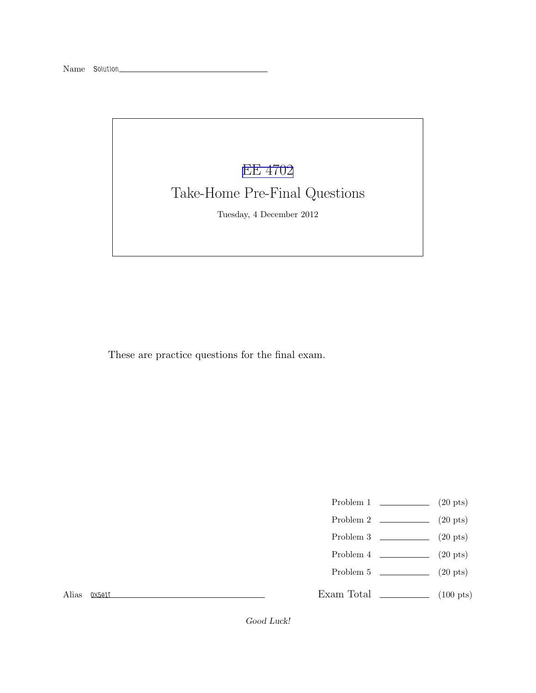## [EE 4702](http://www.ece.lsu.edu/koppel/gpup/) Take-Home Pre-Final Questions Tuesday, 4 December 2012

These are practice questions for the final exam.

- Problem 1  $\qquad \qquad (20 \text{ pts})$
- Problem 2  $\sim$  (20 pts)
- Problem 3 (20 pts)
- Problem 4  $\qquad \qquad (20 \text{ pts})$
- Problem 5 (20 pts)

Alias *0x5e1f*

Exam Total \_\_\_\_\_\_\_\_\_\_\_\_\_ (100 pts)

*Good Luck!*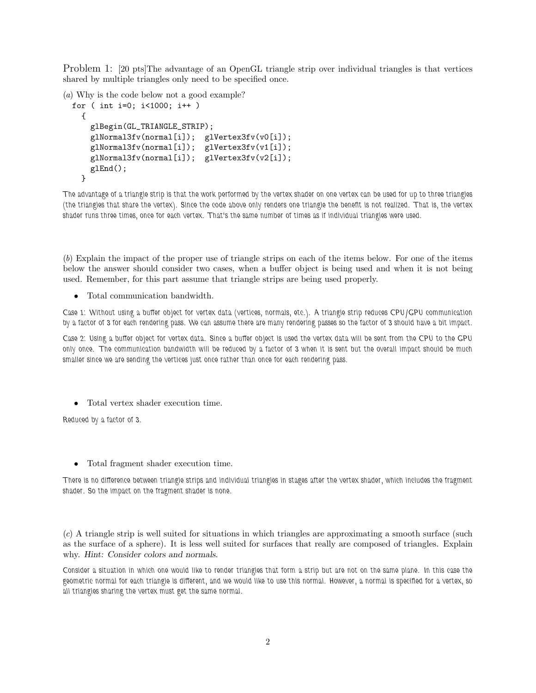Problem 1: [20 pts]The advantage of an OpenGL triangle strip over individual triangles is that vertices shared by multiple triangles only need to be specified once.

(*a*) Why is the code below not a good example?

```
for ( int i=0; i<1000; i++ )
 {
   glBegin(GL_TRIANGLE_STRIP);
   glNormal3fv(normal[i]); glVertex3fv(v0[i]);
    glNormal3fv(normal[i]); glVertex3fv(v1[i]);
   glNormal3fv(normal[i]); glVertex3fv(v2[i]);
   glEnd();
 }
```
*The advantage of a triangle strip is that the work performed by the vertex shader on one vertex can be used for up to three triangles (the triangles that share the vertex). Since the code above only renders one triangle the benefit is not realized. That is, the vertex shader runs three times, once for each vertex. That's the same number of times as if individual triangles were used.*

(*b*) Explain the impact of the proper use of triangle strips on each of the items below. For one of the items below the answer should consider two cases, when a buffer object is being used and when it is not being used. Remember, for this part assume that triangle strips are being used properly.

• Total communication bandwidth.

*Case 1: Without using a buffer object for vertex data (vertices, normals, etc.). A triangle strip reduces CPU/GPU communication by a factor of 3 for each rendering pass. We can assume there are many rendering passes so the factor of 3 should have a bit impact.*

*Case 2: Using a buffer object for vertex data. Since a buffer object is used the vertex data will be sent from the CPU to the GPU only once. The communication bandwidth will be reduced by a factor of 3 when it is sent but the overall impact should be much smaller since we are sending the vertices just once rather than once for each rendering pass.*

• Total vertex shader execution time.

*Reduced by a factor of 3.*

• Total fragment shader execution time.

*There is no difference between triangle strips and individual triangles in stages after the vertex shader, which includes the fragment shader. So the impact on the fragment shader is none.*

(*c*) A triangle strip is well suited for situations in which triangles are approximating a smooth surface (such as the surface of a sphere). It is less well suited for surfaces that really are composed of triangles. Explain why. *Hint: Consider colors and normals.*

*Consider a situation in which one would like to render triangles that form a strip but are not on the same plane. In this case the geometric normal for each triangle is different, and we would like to use this normal. However, a normal is specified for a vertex, so all triangles sharing the vertex must get the same normal.*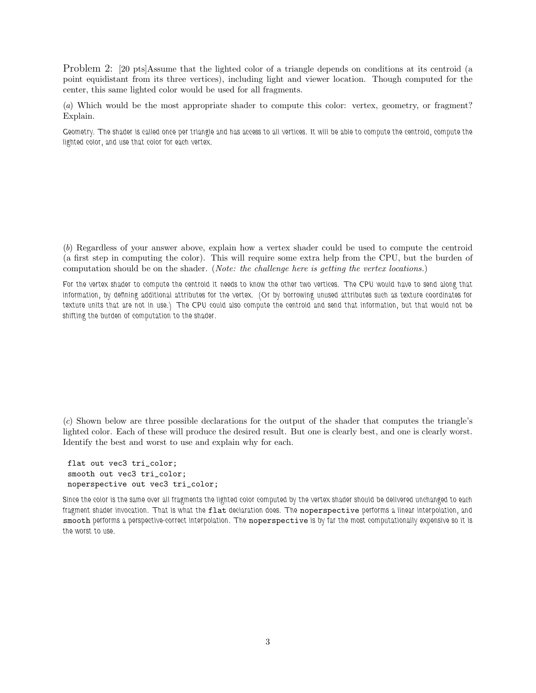Problem 2: [20 pts]Assume that the lighted color of a triangle depends on conditions at its centroid (a point equidistant from its three vertices), including light and viewer location. Though computed for the center, this same lighted color would be used for all fragments.

(*a*) Which would be the most appropriate shader to compute this color: vertex, geometry, or fragment? Explain.

*Geometry. The shader is called once per triangle and has access to all vertices. It will be able to compute the centroid, compute the lighted color, and use that color for each vertex.*

(*b*) Regardless of your answer above, explain how a vertex shader could be used to compute the centroid (a first step in computing the color). This will require some extra help from the CPU, but the burden of computation should be on the shader. (*Note: the challenge here is getting the vertex locations.*)

*For the vertex shader to compute the centroid it needs to know the other two vertices. The CPU would have to send along that information, by defining additional attributes for the vertex. (Or by borrowing unused attributes such as texture coordinates for texture units that are not in use.) The CPU could also compute the centroid and send that information, but that would not be shifting the burden of computation to the shader.*

(*c*) Shown below are three possible declarations for the output of the shader that computes the triangle's lighted color. Each of these will produce the desired result. But one is clearly best, and one is clearly worst. Identify the best and worst to use and explain why for each.

flat out vec3 tri\_color; smooth out vec3 tri\_color; noperspective out vec3 tri\_color;

*Since the color is the same over all fragments the lighted color computed by the vertex shader should be delivered unchanged to each fragment shader invocation. That is what the* flat *declaration does. The* noperspective *performs a linear interpolation, and* smooth *performs a perspective-correct interpolation. The* noperspective *is by far the most computationally expensive so it is the worst to use.*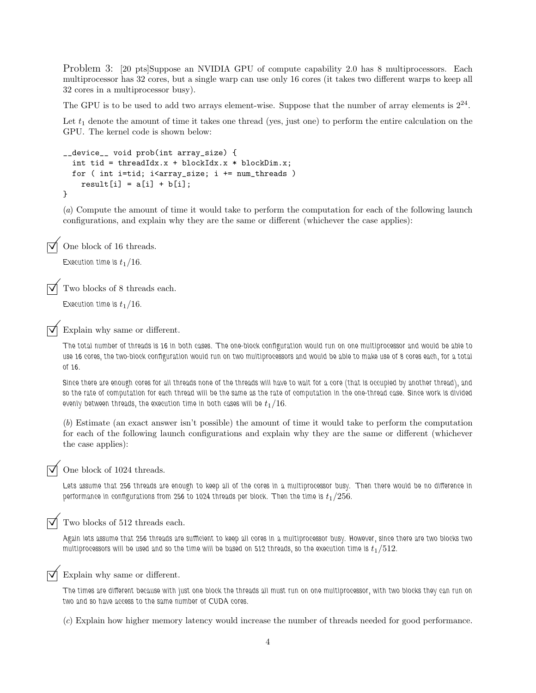Problem 3: [20 pts]Suppose an NVIDIA GPU of compute capability 2.0 has 8 multiprocessors. Each multiprocessor has 32 cores, but a single warp can use only 16 cores (it takes two different warps to keep all 32 cores in a multiprocessor busy).

The GPU is to be used to add two arrays element-wise. Suppose that the number of array elements is  $2^{24}$ .

Let  $t_1$  denote the amount of time it takes one thread (yes, just one) to perform the entire calculation on the GPU. The kernel code is shown below:

```
__device__ void prob(int array_size) {
  int tid = threadIdx.x + blockIdx.x * blockDim.x;
  for ( int i=tid; i<array_size; i += num_threads )
   result[i] = a[i] + b[i];}
```
(*a*) Compute the amount of time it would take to perform the computation for each of the following launch configurations, and explain why they are the same or different (whichever the case applies):

One block of 16 threads.

Execution time is  $t_1/16$ .

Two blocks of 8 threads each.

Execution time is  $t_1/16$ .

Explain why same or different.

*The total number of threads is 16 in both cases. The one-block configuration would run on one multiprocessor and would be able to use 16 cores, the two-block configuration would run on two multiprocessors and would be able to make use of 8 cores each, for a total of 16.*

*Since there are enough cores for all threads none of the threads will have to wait for a core (that is occupied by another thread), and so the rate of computation for each thread will be the same as the rate of computation in the one-thread case. Since work is divided evenly between threads, the execution time in both cases will be*  $t_1/16$ *.* 

(*b*) Estimate (an exact answer isn't possible) the amount of time it would take to perform the computation for each of the following launch configurations and explain why they are the same or different (whichever the case applies):

One block of 1024 threads.

*Lets assume that 256 threads are enough to keep all of the cores in a multiprocessor busy. Then there would be no difference in performance in configurations from 256 to 1024 threads per block. Then the time is*  $t_1/256$ *.* 

Two blocks of 512 threads each.

*Again lets assume that 256 threads are sufficient to keep all cores in a multiprocessor busy. However, since there are two blocks two* multiprocessors will be used and so the time will be based on 512 threads, so the execution time is  $t_1/512$ *.* 



Explain why same or different.

*The times are different because with just one block the threads all must run on one multiprocessor, with two blocks they can run on two and so have access to the same number of CUDA cores.*

(*c*) Explain how higher memory latency would increase the number of threads needed for good performance.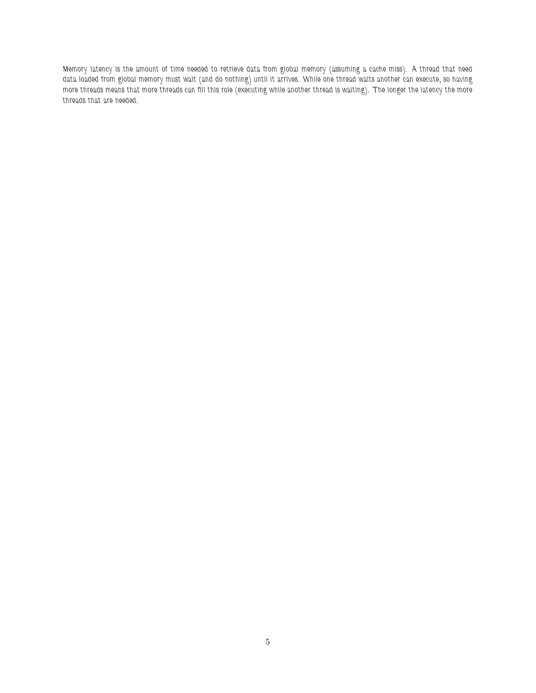*Memory latency is the amount of time needed to retrieve data from global memory (assuming a cache miss). A thread that need data loaded from global memory must wait (and do nothing) until it arrives. While one thread waits another can execute, so having more threads means that more threads can fill this role (executing while another thread is waiting). The longer the latency the more threads that are needed.*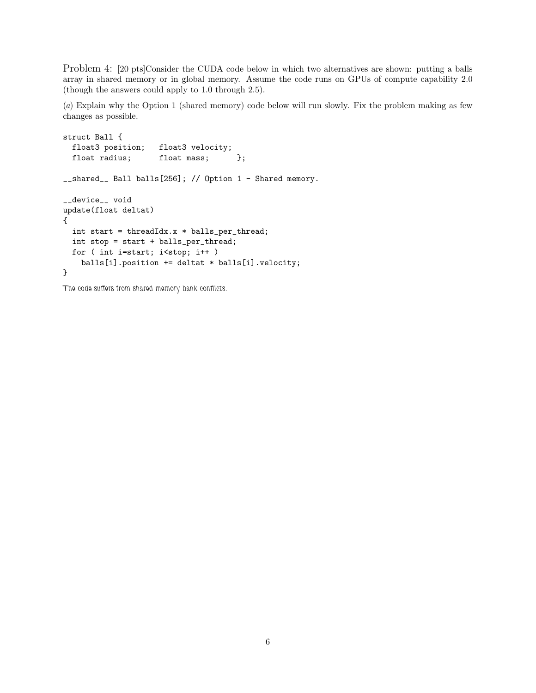Problem 4: [20 pts]Consider the CUDA code below in which two alternatives are shown: putting a balls array in shared memory or in global memory. Assume the code runs on GPUs of compute capability 2.0 (though the answers could apply to 1.0 through 2.5).

(*a*) Explain why the Option 1 (shared memory) code below will run slowly. Fix the problem making as few changes as possible.

```
struct Ball {
 float3 position; float3 velocity;
 float radius; float mass; };
__shared__ Ball balls[256]; // Option 1 - Shared memory.
__device__ void
update(float deltat)
{
  int start = threadIdx.x * balls_per_thread;
 int stop = start + balls_per_thread;
 for ( int i=start; i<stop; i++ )
   balls[i].position += deltat * balls[i].velocity;
}
```
*The code suffers from shared memory bank conflicts.*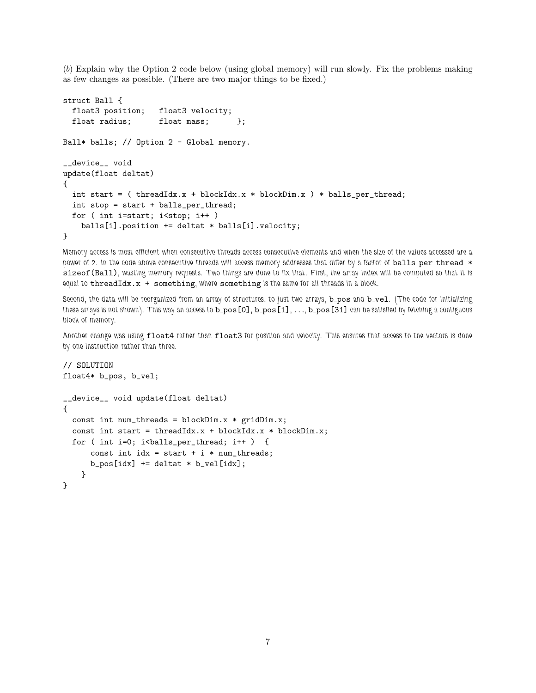(*b*) Explain why the Option 2 code below (using global memory) will run slowly. Fix the problems making as few changes as possible. (There are two major things to be fixed.)

```
struct Ball {
 float3 position; float3 velocity;
 float radius; float mass; };
Ball* balls; // Option 2 - Global memory.
__device__ void
update(float deltat)
{
 int start = ( threadIdx.x + blockIdx.x * blockDim.x ) * balls_per_thread;
 int stop = start + balls_per_thread;
 for ( int i=start; i<stop; i++ )
   balls[i].position += deltat * balls[i].velocity;
}
```
*Memory access is most efficient when consecutive threads access consecutive elements and when the size of the values accessed are a* power of 2. In the code above consecutive threads will access memory addresses that differ by a factor of balls\_per\_thread \* sizeof(Ball)*, wasting memory requests. Two things are done to fix that. First, the array index will be computed so that it is equal to* threadIdx.x + something*, where* something *is the same for all threads in a block.*

Second, the data will be reorganized from an array of structures, to just two arrays, **b** pos and **b** vel. (The code for initializing these arrays is not shown). This way an access to **b\_pos** [0], **b\_pos** [1], . . ., **b\_pos** [31] can be satisfied by fetching a contiguous *block of memory.*

*Another change was using* float4 *rather than* float3 *for position and velocity. This ensures that access to the vectors is done by one instruction rather than three.*

```
// SOLUTION
float4* b_pos, b_vel;
__device__ void update(float deltat)
{
  const int num_threads = blockDim.x * gridDim.x;const int start = threadIdx.x + blockIdx.x * blockDim.x;
  for ( int i=0; i<br/>balls_per_thread; i++ ) {
      const int idx = start + i * num_threads;
      b_p \cos[i dx] += deltat * b_p \vee b[i dx];
    }
}
```